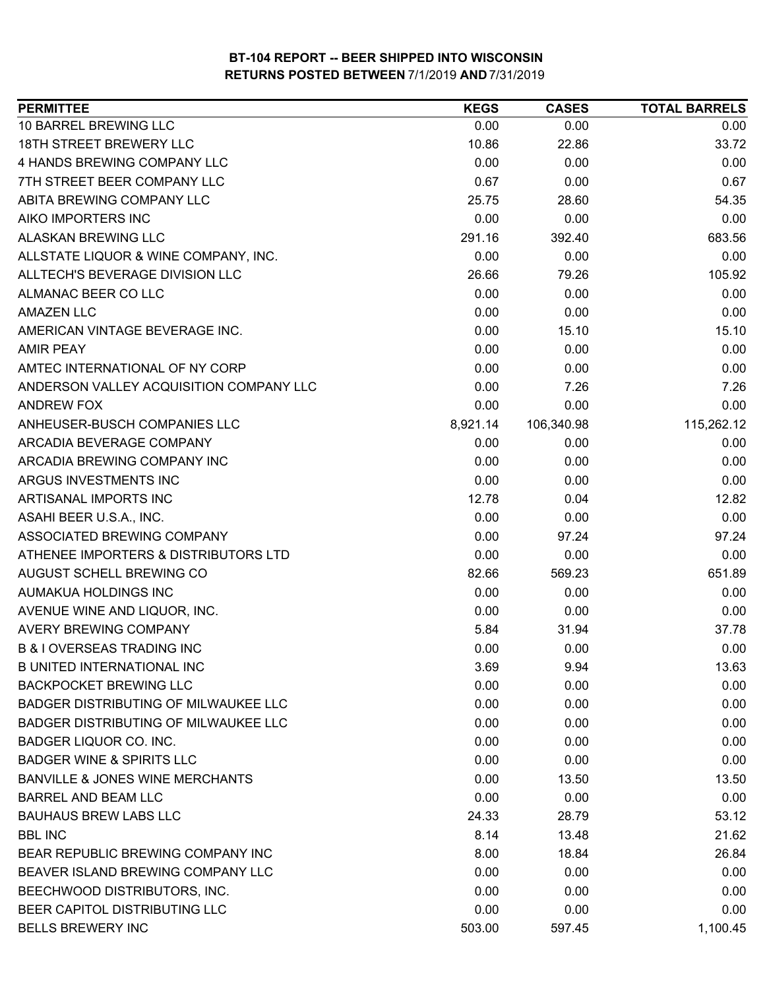| <b>PERMITTEE</b>                            | <b>KEGS</b> | <b>CASES</b> | <b>TOTAL BARRELS</b> |
|---------------------------------------------|-------------|--------------|----------------------|
| 10 BARREL BREWING LLC                       | 0.00        | 0.00         | 0.00                 |
| 18TH STREET BREWERY LLC                     | 10.86       | 22.86        | 33.72                |
| 4 HANDS BREWING COMPANY LLC                 | 0.00        | 0.00         | 0.00                 |
| 7TH STREET BEER COMPANY LLC                 | 0.67        | 0.00         | 0.67                 |
| ABITA BREWING COMPANY LLC                   | 25.75       | 28.60        | 54.35                |
| AIKO IMPORTERS INC                          | 0.00        | 0.00         | 0.00                 |
| ALASKAN BREWING LLC                         | 291.16      | 392.40       | 683.56               |
| ALLSTATE LIQUOR & WINE COMPANY, INC.        | 0.00        | 0.00         | 0.00                 |
| ALLTECH'S BEVERAGE DIVISION LLC             | 26.66       | 79.26        | 105.92               |
| ALMANAC BEER CO LLC                         | 0.00        | 0.00         | 0.00                 |
| <b>AMAZEN LLC</b>                           | 0.00        | 0.00         | 0.00                 |
| AMERICAN VINTAGE BEVERAGE INC.              | 0.00        | 15.10        | 15.10                |
| <b>AMIR PEAY</b>                            | 0.00        | 0.00         | 0.00                 |
| AMTEC INTERNATIONAL OF NY CORP              | 0.00        | 0.00         | 0.00                 |
| ANDERSON VALLEY ACQUISITION COMPANY LLC     | 0.00        | 7.26         | 7.26                 |
| <b>ANDREW FOX</b>                           | 0.00        | 0.00         | 0.00                 |
| ANHEUSER-BUSCH COMPANIES LLC                | 8,921.14    | 106,340.98   | 115,262.12           |
| ARCADIA BEVERAGE COMPANY                    | 0.00        | 0.00         | 0.00                 |
| ARCADIA BREWING COMPANY INC                 | 0.00        | 0.00         | 0.00                 |
| ARGUS INVESTMENTS INC                       | 0.00        | 0.00         | 0.00                 |
| ARTISANAL IMPORTS INC                       | 12.78       | 0.04         | 12.82                |
| ASAHI BEER U.S.A., INC.                     | 0.00        | 0.00         | 0.00                 |
| ASSOCIATED BREWING COMPANY                  | 0.00        | 97.24        | 97.24                |
| ATHENEE IMPORTERS & DISTRIBUTORS LTD        | 0.00        | 0.00         | 0.00                 |
| AUGUST SCHELL BREWING CO                    | 82.66       | 569.23       | 651.89               |
| AUMAKUA HOLDINGS INC                        | 0.00        | 0.00         | 0.00                 |
| AVENUE WINE AND LIQUOR, INC.                | 0.00        | 0.00         | 0.00                 |
| <b>AVERY BREWING COMPANY</b>                | 5.84        | 31.94        | 37.78                |
| <b>B &amp; I OVERSEAS TRADING INC</b>       | 0.00        | 0.00         | 0.00                 |
| <b>B UNITED INTERNATIONAL INC</b>           | 3.69        | 9.94         | 13.63                |
| <b>BACKPOCKET BREWING LLC</b>               | 0.00        | 0.00         | 0.00                 |
| <b>BADGER DISTRIBUTING OF MILWAUKEE LLC</b> | 0.00        | 0.00         | 0.00                 |
| <b>BADGER DISTRIBUTING OF MILWAUKEE LLC</b> | 0.00        | 0.00         | 0.00                 |
| <b>BADGER LIQUOR CO. INC.</b>               | 0.00        | 0.00         | 0.00                 |
| <b>BADGER WINE &amp; SPIRITS LLC</b>        | 0.00        | 0.00         | 0.00                 |
| <b>BANVILLE &amp; JONES WINE MERCHANTS</b>  | 0.00        | 13.50        | 13.50                |
| <b>BARREL AND BEAM LLC</b>                  | 0.00        | 0.00         | 0.00                 |
| <b>BAUHAUS BREW LABS LLC</b>                | 24.33       | 28.79        | 53.12                |
| <b>BBL INC</b>                              | 8.14        | 13.48        | 21.62                |
| BEAR REPUBLIC BREWING COMPANY INC           | 8.00        | 18.84        | 26.84                |
| BEAVER ISLAND BREWING COMPANY LLC           | 0.00        | 0.00         | 0.00                 |
| BEECHWOOD DISTRIBUTORS, INC.                | 0.00        | 0.00         | 0.00                 |
| BEER CAPITOL DISTRIBUTING LLC               | 0.00        | 0.00         | 0.00                 |
| <b>BELLS BREWERY INC</b>                    | 503.00      | 597.45       | 1,100.45             |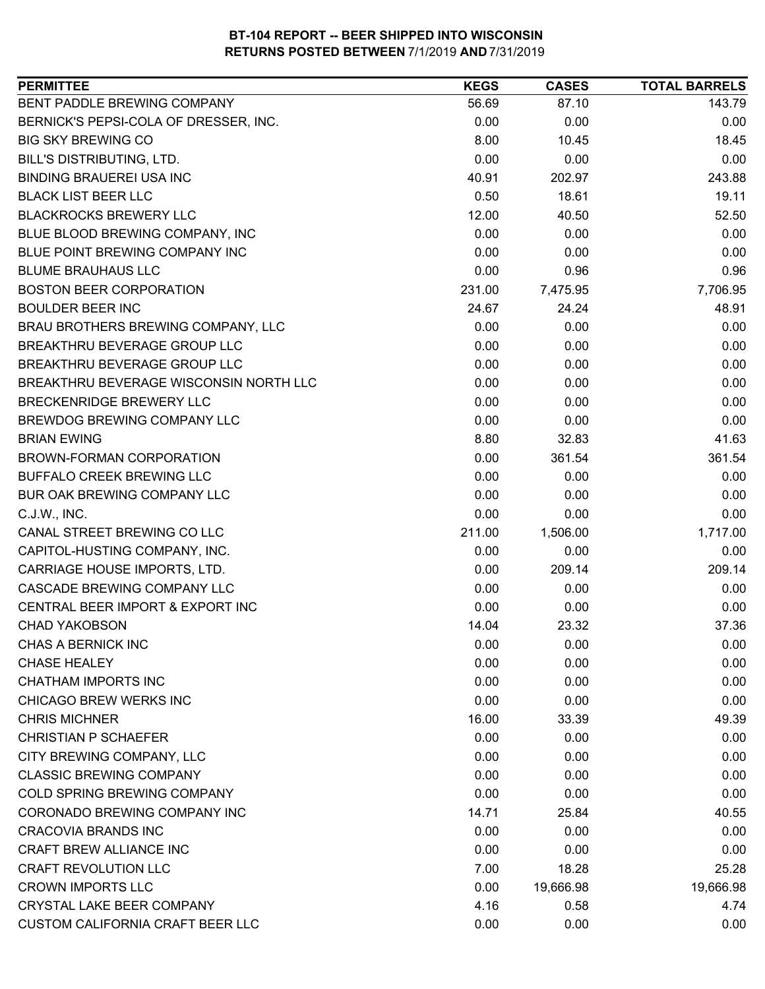| <b>PERMITTEE</b>                        | <b>KEGS</b> | <b>CASES</b> | <b>TOTAL BARRELS</b> |
|-----------------------------------------|-------------|--------------|----------------------|
| BENT PADDLE BREWING COMPANY             | 56.69       | 87.10        | 143.79               |
| BERNICK'S PEPSI-COLA OF DRESSER, INC.   | 0.00        | 0.00         | 0.00                 |
| <b>BIG SKY BREWING CO</b>               | 8.00        | 10.45        | 18.45                |
| BILL'S DISTRIBUTING, LTD.               | 0.00        | 0.00         | 0.00                 |
| <b>BINDING BRAUEREI USA INC</b>         | 40.91       | 202.97       | 243.88               |
| <b>BLACK LIST BEER LLC</b>              | 0.50        | 18.61        | 19.11                |
| <b>BLACKROCKS BREWERY LLC</b>           | 12.00       | 40.50        | 52.50                |
| BLUE BLOOD BREWING COMPANY, INC         | 0.00        | 0.00         | 0.00                 |
| BLUE POINT BREWING COMPANY INC          | 0.00        | 0.00         | 0.00                 |
| <b>BLUME BRAUHAUS LLC</b>               | 0.00        | 0.96         | 0.96                 |
| <b>BOSTON BEER CORPORATION</b>          | 231.00      | 7,475.95     | 7,706.95             |
| <b>BOULDER BEER INC</b>                 | 24.67       | 24.24        | 48.91                |
| BRAU BROTHERS BREWING COMPANY, LLC      | 0.00        | 0.00         | 0.00                 |
| BREAKTHRU BEVERAGE GROUP LLC            | 0.00        | 0.00         | 0.00                 |
| BREAKTHRU BEVERAGE GROUP LLC            | 0.00        | 0.00         | 0.00                 |
| BREAKTHRU BEVERAGE WISCONSIN NORTH LLC  | 0.00        | 0.00         | 0.00                 |
| <b>BRECKENRIDGE BREWERY LLC</b>         | 0.00        | 0.00         | 0.00                 |
| BREWDOG BREWING COMPANY LLC             | 0.00        | 0.00         | 0.00                 |
| <b>BRIAN EWING</b>                      | 8.80        | 32.83        | 41.63                |
| BROWN-FORMAN CORPORATION                | 0.00        | 361.54       | 361.54               |
| BUFFALO CREEK BREWING LLC               | 0.00        | 0.00         | 0.00                 |
| BUR OAK BREWING COMPANY LLC             | 0.00        | 0.00         | 0.00                 |
| C.J.W., INC.                            | 0.00        | 0.00         | 0.00                 |
| CANAL STREET BREWING CO LLC             | 211.00      | 1,506.00     | 1,717.00             |
| CAPITOL-HUSTING COMPANY, INC.           | 0.00        | 0.00         | 0.00                 |
| CARRIAGE HOUSE IMPORTS, LTD.            | 0.00        | 209.14       | 209.14               |
| CASCADE BREWING COMPANY LLC             | 0.00        | 0.00         | 0.00                 |
| CENTRAL BEER IMPORT & EXPORT INC        | 0.00        | 0.00         | 0.00                 |
| <b>CHAD YAKOBSON</b>                    | 14.04       | 23.32        | 37.36                |
| CHAS A BERNICK INC                      | 0.00        | 0.00         | 0.00                 |
| <b>CHASE HEALEY</b>                     | 0.00        | 0.00         | 0.00                 |
| <b>CHATHAM IMPORTS INC</b>              | 0.00        | 0.00         | 0.00                 |
| CHICAGO BREW WERKS INC                  | 0.00        | 0.00         | 0.00                 |
| <b>CHRIS MICHNER</b>                    | 16.00       | 33.39        | 49.39                |
| <b>CHRISTIAN P SCHAEFER</b>             | 0.00        | 0.00         | 0.00                 |
| CITY BREWING COMPANY, LLC               | 0.00        | 0.00         | 0.00                 |
| <b>CLASSIC BREWING COMPANY</b>          | 0.00        | 0.00         | 0.00                 |
| <b>COLD SPRING BREWING COMPANY</b>      | 0.00        | 0.00         | 0.00                 |
| CORONADO BREWING COMPANY INC            | 14.71       | 25.84        | 40.55                |
| <b>CRACOVIA BRANDS INC</b>              | 0.00        | 0.00         | 0.00                 |
| CRAFT BREW ALLIANCE INC                 | 0.00        | 0.00         | 0.00                 |
| <b>CRAFT REVOLUTION LLC</b>             | 7.00        | 18.28        | 25.28                |
| <b>CROWN IMPORTS LLC</b>                | 0.00        | 19,666.98    | 19,666.98            |
| <b>CRYSTAL LAKE BEER COMPANY</b>        | 4.16        | 0.58         | 4.74                 |
| <b>CUSTOM CALIFORNIA CRAFT BEER LLC</b> | 0.00        | 0.00         | 0.00                 |
|                                         |             |              |                      |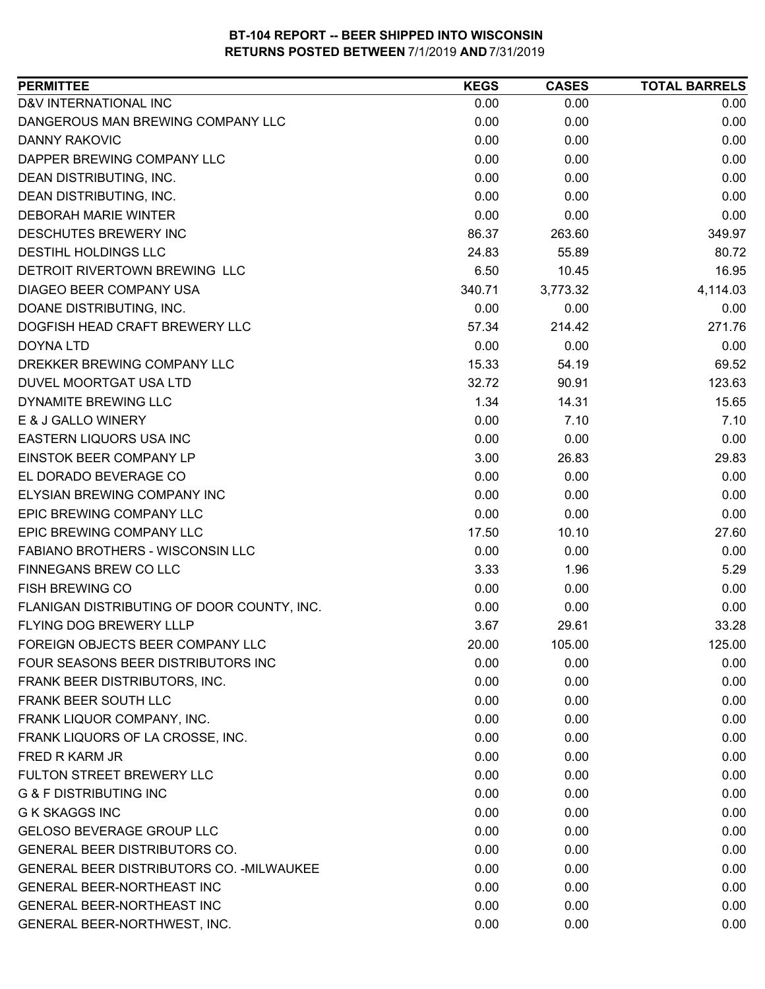| D&V INTERNATIONAL INC<br>0.00<br>0.00<br>0.00<br>DANGEROUS MAN BREWING COMPANY LLC<br>0.00<br>0.00<br>0.00<br>0.00<br><b>DANNY RAKOVIC</b><br>0.00<br>0.00<br>DAPPER BREWING COMPANY LLC<br>0.00<br>0.00<br>0.00<br>0.00<br>0.00<br>DEAN DISTRIBUTING, INC.<br>0.00<br>DEAN DISTRIBUTING, INC.<br>0.00<br>0.00<br>0.00<br><b>DEBORAH MARIE WINTER</b><br>0.00<br>0.00<br>0.00<br>DESCHUTES BREWERY INC<br>263.60<br>349.97<br>86.37<br><b>DESTIHL HOLDINGS LLC</b><br>24.83<br>55.89<br>80.72<br>DETROIT RIVERTOWN BREWING LLC<br>6.50<br>16.95<br>10.45<br>DIAGEO BEER COMPANY USA<br>4,114.03<br>340.71<br>3,773.32<br>DOANE DISTRIBUTING, INC.<br>0.00<br>0.00<br>0.00<br>DOGFISH HEAD CRAFT BREWERY LLC<br>214.42<br>271.76<br>57.34<br>0.00<br>0.00<br>0.00<br><b>DOYNA LTD</b><br>DREKKER BREWING COMPANY LLC<br>15.33<br>69.52<br>54.19<br>123.63<br>32.72<br>90.91<br>DUVEL MOORTGAT USA LTD<br>DYNAMITE BREWING LLC<br>1.34<br>14.31<br>15.65<br>E & J GALLO WINERY<br>0.00<br>7.10<br>7.10<br>EASTERN LIQUORS USA INC<br>0.00<br>0.00<br>0.00<br>EINSTOK BEER COMPANY LP<br>29.83<br>3.00<br>26.83<br>EL DORADO BEVERAGE CO<br>0.00<br>0.00<br>0.00<br>ELYSIAN BREWING COMPANY INC<br>0.00<br>0.00<br>0.00<br>EPIC BREWING COMPANY LLC<br>0.00<br>0.00<br>0.00<br>EPIC BREWING COMPANY LLC<br>27.60<br>17.50<br>10.10<br>FABIANO BROTHERS - WISCONSIN LLC<br>0.00<br>0.00<br>0.00<br>FINNEGANS BREW CO LLC<br>5.29<br>3.33<br>1.96<br><b>FISH BREWING CO</b><br>0.00<br>0.00<br>0.00<br>FLANIGAN DISTRIBUTING OF DOOR COUNTY, INC.<br>0.00<br>0.00<br>0.00 |
|----------------------------------------------------------------------------------------------------------------------------------------------------------------------------------------------------------------------------------------------------------------------------------------------------------------------------------------------------------------------------------------------------------------------------------------------------------------------------------------------------------------------------------------------------------------------------------------------------------------------------------------------------------------------------------------------------------------------------------------------------------------------------------------------------------------------------------------------------------------------------------------------------------------------------------------------------------------------------------------------------------------------------------------------------------------------------------------------------------------------------------------------------------------------------------------------------------------------------------------------------------------------------------------------------------------------------------------------------------------------------------------------------------------------------------------------------------------------------------------------------------------------------------------------------------------------|
|                                                                                                                                                                                                                                                                                                                                                                                                                                                                                                                                                                                                                                                                                                                                                                                                                                                                                                                                                                                                                                                                                                                                                                                                                                                                                                                                                                                                                                                                                                                                                                      |
|                                                                                                                                                                                                                                                                                                                                                                                                                                                                                                                                                                                                                                                                                                                                                                                                                                                                                                                                                                                                                                                                                                                                                                                                                                                                                                                                                                                                                                                                                                                                                                      |
|                                                                                                                                                                                                                                                                                                                                                                                                                                                                                                                                                                                                                                                                                                                                                                                                                                                                                                                                                                                                                                                                                                                                                                                                                                                                                                                                                                                                                                                                                                                                                                      |
|                                                                                                                                                                                                                                                                                                                                                                                                                                                                                                                                                                                                                                                                                                                                                                                                                                                                                                                                                                                                                                                                                                                                                                                                                                                                                                                                                                                                                                                                                                                                                                      |
|                                                                                                                                                                                                                                                                                                                                                                                                                                                                                                                                                                                                                                                                                                                                                                                                                                                                                                                                                                                                                                                                                                                                                                                                                                                                                                                                                                                                                                                                                                                                                                      |
|                                                                                                                                                                                                                                                                                                                                                                                                                                                                                                                                                                                                                                                                                                                                                                                                                                                                                                                                                                                                                                                                                                                                                                                                                                                                                                                                                                                                                                                                                                                                                                      |
|                                                                                                                                                                                                                                                                                                                                                                                                                                                                                                                                                                                                                                                                                                                                                                                                                                                                                                                                                                                                                                                                                                                                                                                                                                                                                                                                                                                                                                                                                                                                                                      |
|                                                                                                                                                                                                                                                                                                                                                                                                                                                                                                                                                                                                                                                                                                                                                                                                                                                                                                                                                                                                                                                                                                                                                                                                                                                                                                                                                                                                                                                                                                                                                                      |
|                                                                                                                                                                                                                                                                                                                                                                                                                                                                                                                                                                                                                                                                                                                                                                                                                                                                                                                                                                                                                                                                                                                                                                                                                                                                                                                                                                                                                                                                                                                                                                      |
|                                                                                                                                                                                                                                                                                                                                                                                                                                                                                                                                                                                                                                                                                                                                                                                                                                                                                                                                                                                                                                                                                                                                                                                                                                                                                                                                                                                                                                                                                                                                                                      |
|                                                                                                                                                                                                                                                                                                                                                                                                                                                                                                                                                                                                                                                                                                                                                                                                                                                                                                                                                                                                                                                                                                                                                                                                                                                                                                                                                                                                                                                                                                                                                                      |
|                                                                                                                                                                                                                                                                                                                                                                                                                                                                                                                                                                                                                                                                                                                                                                                                                                                                                                                                                                                                                                                                                                                                                                                                                                                                                                                                                                                                                                                                                                                                                                      |
|                                                                                                                                                                                                                                                                                                                                                                                                                                                                                                                                                                                                                                                                                                                                                                                                                                                                                                                                                                                                                                                                                                                                                                                                                                                                                                                                                                                                                                                                                                                                                                      |
|                                                                                                                                                                                                                                                                                                                                                                                                                                                                                                                                                                                                                                                                                                                                                                                                                                                                                                                                                                                                                                                                                                                                                                                                                                                                                                                                                                                                                                                                                                                                                                      |
|                                                                                                                                                                                                                                                                                                                                                                                                                                                                                                                                                                                                                                                                                                                                                                                                                                                                                                                                                                                                                                                                                                                                                                                                                                                                                                                                                                                                                                                                                                                                                                      |
|                                                                                                                                                                                                                                                                                                                                                                                                                                                                                                                                                                                                                                                                                                                                                                                                                                                                                                                                                                                                                                                                                                                                                                                                                                                                                                                                                                                                                                                                                                                                                                      |
|                                                                                                                                                                                                                                                                                                                                                                                                                                                                                                                                                                                                                                                                                                                                                                                                                                                                                                                                                                                                                                                                                                                                                                                                                                                                                                                                                                                                                                                                                                                                                                      |
|                                                                                                                                                                                                                                                                                                                                                                                                                                                                                                                                                                                                                                                                                                                                                                                                                                                                                                                                                                                                                                                                                                                                                                                                                                                                                                                                                                                                                                                                                                                                                                      |
|                                                                                                                                                                                                                                                                                                                                                                                                                                                                                                                                                                                                                                                                                                                                                                                                                                                                                                                                                                                                                                                                                                                                                                                                                                                                                                                                                                                                                                                                                                                                                                      |
|                                                                                                                                                                                                                                                                                                                                                                                                                                                                                                                                                                                                                                                                                                                                                                                                                                                                                                                                                                                                                                                                                                                                                                                                                                                                                                                                                                                                                                                                                                                                                                      |
|                                                                                                                                                                                                                                                                                                                                                                                                                                                                                                                                                                                                                                                                                                                                                                                                                                                                                                                                                                                                                                                                                                                                                                                                                                                                                                                                                                                                                                                                                                                                                                      |
|                                                                                                                                                                                                                                                                                                                                                                                                                                                                                                                                                                                                                                                                                                                                                                                                                                                                                                                                                                                                                                                                                                                                                                                                                                                                                                                                                                                                                                                                                                                                                                      |
|                                                                                                                                                                                                                                                                                                                                                                                                                                                                                                                                                                                                                                                                                                                                                                                                                                                                                                                                                                                                                                                                                                                                                                                                                                                                                                                                                                                                                                                                                                                                                                      |
|                                                                                                                                                                                                                                                                                                                                                                                                                                                                                                                                                                                                                                                                                                                                                                                                                                                                                                                                                                                                                                                                                                                                                                                                                                                                                                                                                                                                                                                                                                                                                                      |
|                                                                                                                                                                                                                                                                                                                                                                                                                                                                                                                                                                                                                                                                                                                                                                                                                                                                                                                                                                                                                                                                                                                                                                                                                                                                                                                                                                                                                                                                                                                                                                      |
|                                                                                                                                                                                                                                                                                                                                                                                                                                                                                                                                                                                                                                                                                                                                                                                                                                                                                                                                                                                                                                                                                                                                                                                                                                                                                                                                                                                                                                                                                                                                                                      |
|                                                                                                                                                                                                                                                                                                                                                                                                                                                                                                                                                                                                                                                                                                                                                                                                                                                                                                                                                                                                                                                                                                                                                                                                                                                                                                                                                                                                                                                                                                                                                                      |
|                                                                                                                                                                                                                                                                                                                                                                                                                                                                                                                                                                                                                                                                                                                                                                                                                                                                                                                                                                                                                                                                                                                                                                                                                                                                                                                                                                                                                                                                                                                                                                      |
| FLYING DOG BREWERY LLLP<br>3.67<br>29.61<br>33.28                                                                                                                                                                                                                                                                                                                                                                                                                                                                                                                                                                                                                                                                                                                                                                                                                                                                                                                                                                                                                                                                                                                                                                                                                                                                                                                                                                                                                                                                                                                    |
| 105.00<br>125.00<br>FOREIGN OBJECTS BEER COMPANY LLC<br>20.00                                                                                                                                                                                                                                                                                                                                                                                                                                                                                                                                                                                                                                                                                                                                                                                                                                                                                                                                                                                                                                                                                                                                                                                                                                                                                                                                                                                                                                                                                                        |
| FOUR SEASONS BEER DISTRIBUTORS INC<br>0.00<br>0.00<br>0.00                                                                                                                                                                                                                                                                                                                                                                                                                                                                                                                                                                                                                                                                                                                                                                                                                                                                                                                                                                                                                                                                                                                                                                                                                                                                                                                                                                                                                                                                                                           |
| FRANK BEER DISTRIBUTORS, INC.<br>0.00<br>0.00<br>0.00                                                                                                                                                                                                                                                                                                                                                                                                                                                                                                                                                                                                                                                                                                                                                                                                                                                                                                                                                                                                                                                                                                                                                                                                                                                                                                                                                                                                                                                                                                                |
| FRANK BEER SOUTH LLC<br>0.00<br>0.00<br>0.00                                                                                                                                                                                                                                                                                                                                                                                                                                                                                                                                                                                                                                                                                                                                                                                                                                                                                                                                                                                                                                                                                                                                                                                                                                                                                                                                                                                                                                                                                                                         |
| FRANK LIQUOR COMPANY, INC.<br>0.00<br>0.00<br>0.00                                                                                                                                                                                                                                                                                                                                                                                                                                                                                                                                                                                                                                                                                                                                                                                                                                                                                                                                                                                                                                                                                                                                                                                                                                                                                                                                                                                                                                                                                                                   |
| FRANK LIQUORS OF LA CROSSE, INC.<br>0.00<br>0.00<br>0.00                                                                                                                                                                                                                                                                                                                                                                                                                                                                                                                                                                                                                                                                                                                                                                                                                                                                                                                                                                                                                                                                                                                                                                                                                                                                                                                                                                                                                                                                                                             |
| <b>FRED R KARM JR</b><br>0.00<br>0.00<br>0.00                                                                                                                                                                                                                                                                                                                                                                                                                                                                                                                                                                                                                                                                                                                                                                                                                                                                                                                                                                                                                                                                                                                                                                                                                                                                                                                                                                                                                                                                                                                        |
| FULTON STREET BREWERY LLC<br>0.00<br>0.00<br>0.00                                                                                                                                                                                                                                                                                                                                                                                                                                                                                                                                                                                                                                                                                                                                                                                                                                                                                                                                                                                                                                                                                                                                                                                                                                                                                                                                                                                                                                                                                                                    |
| <b>G &amp; F DISTRIBUTING INC</b><br>0.00<br>0.00<br>0.00                                                                                                                                                                                                                                                                                                                                                                                                                                                                                                                                                                                                                                                                                                                                                                                                                                                                                                                                                                                                                                                                                                                                                                                                                                                                                                                                                                                                                                                                                                            |
| <b>G K SKAGGS INC</b><br>0.00<br>0.00<br>0.00                                                                                                                                                                                                                                                                                                                                                                                                                                                                                                                                                                                                                                                                                                                                                                                                                                                                                                                                                                                                                                                                                                                                                                                                                                                                                                                                                                                                                                                                                                                        |
| GELOSO BEVERAGE GROUP LLC<br>0.00<br>0.00<br>0.00                                                                                                                                                                                                                                                                                                                                                                                                                                                                                                                                                                                                                                                                                                                                                                                                                                                                                                                                                                                                                                                                                                                                                                                                                                                                                                                                                                                                                                                                                                                    |
| <b>GENERAL BEER DISTRIBUTORS CO.</b><br>0.00<br>0.00<br>0.00                                                                                                                                                                                                                                                                                                                                                                                                                                                                                                                                                                                                                                                                                                                                                                                                                                                                                                                                                                                                                                                                                                                                                                                                                                                                                                                                                                                                                                                                                                         |
| <b>GENERAL BEER DISTRIBUTORS CO. - MILWAUKEE</b><br>0.00<br>0.00<br>0.00                                                                                                                                                                                                                                                                                                                                                                                                                                                                                                                                                                                                                                                                                                                                                                                                                                                                                                                                                                                                                                                                                                                                                                                                                                                                                                                                                                                                                                                                                             |
| 0.00<br><b>GENERAL BEER-NORTHEAST INC</b><br>0.00<br>0.00                                                                                                                                                                                                                                                                                                                                                                                                                                                                                                                                                                                                                                                                                                                                                                                                                                                                                                                                                                                                                                                                                                                                                                                                                                                                                                                                                                                                                                                                                                            |
| 0.00<br><b>GENERAL BEER-NORTHEAST INC</b><br>0.00<br>0.00                                                                                                                                                                                                                                                                                                                                                                                                                                                                                                                                                                                                                                                                                                                                                                                                                                                                                                                                                                                                                                                                                                                                                                                                                                                                                                                                                                                                                                                                                                            |
| GENERAL BEER-NORTHWEST, INC.<br>0.00<br>0.00<br>0.00                                                                                                                                                                                                                                                                                                                                                                                                                                                                                                                                                                                                                                                                                                                                                                                                                                                                                                                                                                                                                                                                                                                                                                                                                                                                                                                                                                                                                                                                                                                 |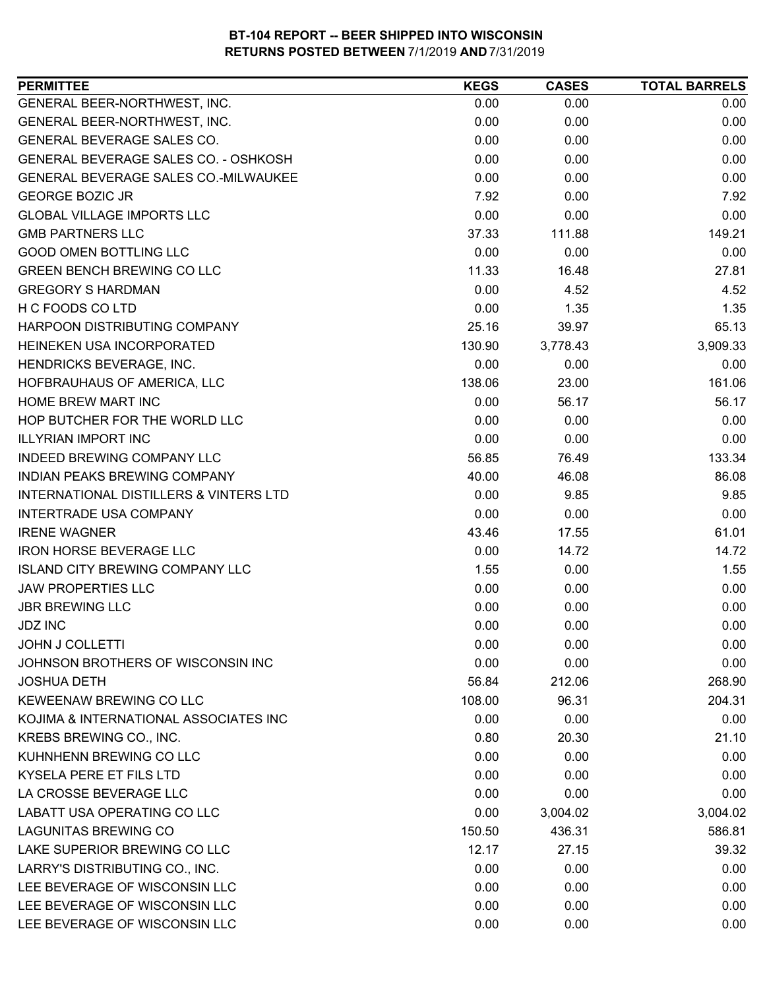| <b>PERMITTEE</b>                                  | <b>KEGS</b> | <b>CASES</b> | <b>TOTAL BARRELS</b> |
|---------------------------------------------------|-------------|--------------|----------------------|
| GENERAL BEER-NORTHWEST, INC.                      | 0.00        | 0.00         | 0.00                 |
| GENERAL BEER-NORTHWEST, INC.                      | 0.00        | 0.00         | 0.00                 |
| GENERAL BEVERAGE SALES CO.                        | 0.00        | 0.00         | 0.00                 |
| GENERAL BEVERAGE SALES CO. - OSHKOSH              | 0.00        | 0.00         | 0.00                 |
| GENERAL BEVERAGE SALES CO.-MILWAUKEE              | 0.00        | 0.00         | 0.00                 |
| <b>GEORGE BOZIC JR</b>                            | 7.92        | 0.00         | 7.92                 |
| <b>GLOBAL VILLAGE IMPORTS LLC</b>                 | 0.00        | 0.00         | 0.00                 |
| <b>GMB PARTNERS LLC</b>                           | 37.33       | 111.88       | 149.21               |
| <b>GOOD OMEN BOTTLING LLC</b>                     | 0.00        | 0.00         | 0.00                 |
| <b>GREEN BENCH BREWING CO LLC</b>                 | 11.33       | 16.48        | 27.81                |
| <b>GREGORY S HARDMAN</b>                          | 0.00        | 4.52         | 4.52                 |
| H C FOODS CO LTD                                  | 0.00        | 1.35         | 1.35                 |
| HARPOON DISTRIBUTING COMPANY                      | 25.16       | 39.97        | 65.13                |
| HEINEKEN USA INCORPORATED                         | 130.90      | 3,778.43     | 3,909.33             |
| HENDRICKS BEVERAGE, INC.                          | 0.00        | 0.00         | 0.00                 |
| HOFBRAUHAUS OF AMERICA, LLC                       | 138.06      | 23.00        | 161.06               |
| <b>HOME BREW MART INC</b>                         | 0.00        | 56.17        | 56.17                |
| HOP BUTCHER FOR THE WORLD LLC                     | 0.00        | 0.00         | 0.00                 |
| <b>ILLYRIAN IMPORT INC</b>                        | 0.00        | 0.00         | 0.00                 |
| INDEED BREWING COMPANY LLC                        | 56.85       | 76.49        | 133.34               |
| INDIAN PEAKS BREWING COMPANY                      | 40.00       | 46.08        | 86.08                |
| <b>INTERNATIONAL DISTILLERS &amp; VINTERS LTD</b> | 0.00        | 9.85         | 9.85                 |
| INTERTRADE USA COMPANY                            | 0.00        | 0.00         | 0.00                 |
| <b>IRENE WAGNER</b>                               | 43.46       | 17.55        | 61.01                |
| <b>IRON HORSE BEVERAGE LLC</b>                    | 0.00        | 14.72        | 14.72                |
| <b>ISLAND CITY BREWING COMPANY LLC</b>            | 1.55        | 0.00         | 1.55                 |
| <b>JAW PROPERTIES LLC</b>                         | 0.00        | 0.00         | 0.00                 |
| <b>JBR BREWING LLC</b>                            | 0.00        | 0.00         | 0.00                 |
| <b>JDZ INC</b>                                    | 0.00        | 0.00         | 0.00                 |
| <b>JOHN J COLLETTI</b>                            | 0.00        | 0.00         | 0.00                 |
| JOHNSON BROTHERS OF WISCONSIN INC                 | 0.00        | 0.00         | 0.00                 |
| <b>JOSHUA DETH</b>                                | 56.84       | 212.06       | 268.90               |
| <b>KEWEENAW BREWING CO LLC</b>                    | 108.00      | 96.31        | 204.31               |
| KOJIMA & INTERNATIONAL ASSOCIATES INC             | 0.00        | 0.00         | 0.00                 |
| KREBS BREWING CO., INC.                           | 0.80        | 20.30        | 21.10                |
| KUHNHENN BREWING CO LLC                           | 0.00        | 0.00         | 0.00                 |
| <b>KYSELA PERE ET FILS LTD</b>                    | 0.00        | 0.00         | 0.00                 |
| LA CROSSE BEVERAGE LLC                            | 0.00        | 0.00         | 0.00                 |
| LABATT USA OPERATING CO LLC                       | 0.00        | 3,004.02     | 3,004.02             |
| <b>LAGUNITAS BREWING CO</b>                       | 150.50      | 436.31       | 586.81               |
| LAKE SUPERIOR BREWING CO LLC                      | 12.17       | 27.15        | 39.32                |
| LARRY'S DISTRIBUTING CO., INC.                    | 0.00        | 0.00         | 0.00                 |
| LEE BEVERAGE OF WISCONSIN LLC                     | 0.00        | 0.00         | 0.00                 |
| LEE BEVERAGE OF WISCONSIN LLC                     | 0.00        | 0.00         | 0.00                 |
| LEE BEVERAGE OF WISCONSIN LLC                     | 0.00        | 0.00         | 0.00                 |
|                                                   |             |              |                      |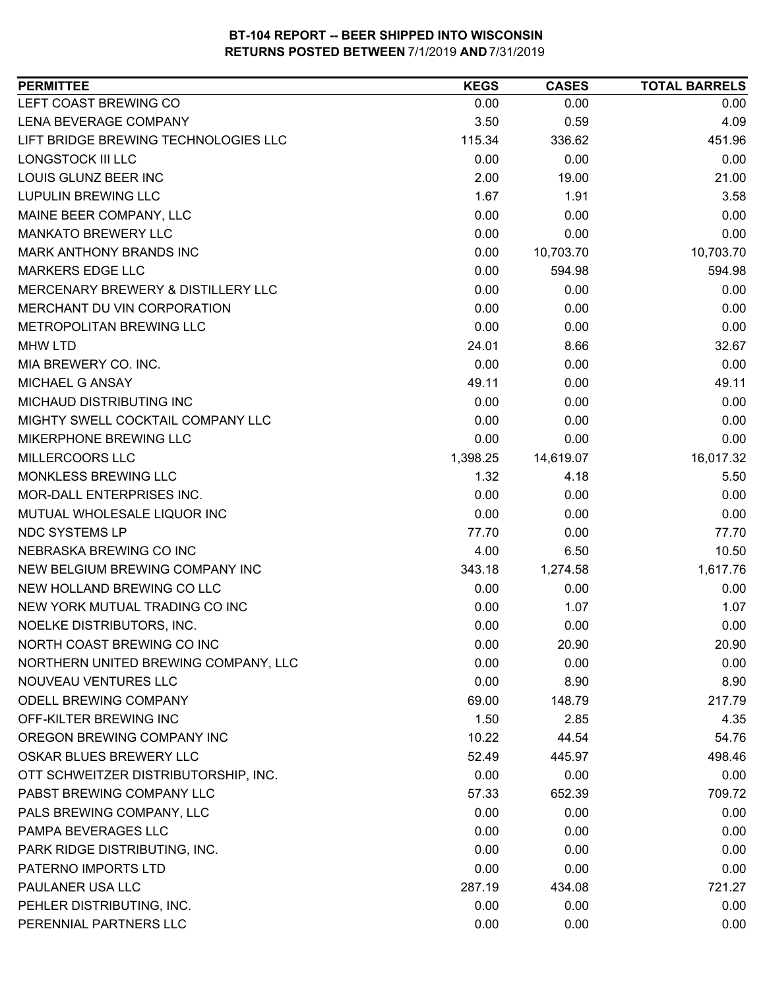| <b>PERMITTEE</b>                     | <b>KEGS</b> | <b>CASES</b> | <b>TOTAL BARRELS</b> |
|--------------------------------------|-------------|--------------|----------------------|
| LEFT COAST BREWING CO                | 0.00        | 0.00         | 0.00                 |
| LENA BEVERAGE COMPANY                | 3.50        | 0.59         | 4.09                 |
| LIFT BRIDGE BREWING TECHNOLOGIES LLC | 115.34      | 336.62       | 451.96               |
| LONGSTOCK III LLC                    | 0.00        | 0.00         | 0.00                 |
| LOUIS GLUNZ BEER INC                 | 2.00        | 19.00        | 21.00                |
| <b>LUPULIN BREWING LLC</b>           | 1.67        | 1.91         | 3.58                 |
| MAINE BEER COMPANY, LLC              | 0.00        | 0.00         | 0.00                 |
| <b>MANKATO BREWERY LLC</b>           | 0.00        | 0.00         | 0.00                 |
| <b>MARK ANTHONY BRANDS INC</b>       | 0.00        | 10,703.70    | 10,703.70            |
| <b>MARKERS EDGE LLC</b>              | 0.00        | 594.98       | 594.98               |
| MERCENARY BREWERY & DISTILLERY LLC   | 0.00        | 0.00         | 0.00                 |
| MERCHANT DU VIN CORPORATION          | 0.00        | 0.00         | 0.00                 |
| METROPOLITAN BREWING LLC             | 0.00        | 0.00         | 0.00                 |
| <b>MHW LTD</b>                       | 24.01       | 8.66         | 32.67                |
| MIA BREWERY CO. INC.                 | 0.00        | 0.00         | 0.00                 |
| <b>MICHAEL G ANSAY</b>               | 49.11       | 0.00         | 49.11                |
| MICHAUD DISTRIBUTING INC             | 0.00        | 0.00         | 0.00                 |
| MIGHTY SWELL COCKTAIL COMPANY LLC    | 0.00        | 0.00         | 0.00                 |
| MIKERPHONE BREWING LLC               | 0.00        | 0.00         | 0.00                 |
| MILLERCOORS LLC                      | 1,398.25    | 14,619.07    | 16,017.32            |
| MONKLESS BREWING LLC                 | 1.32        | 4.18         | 5.50                 |
| MOR-DALL ENTERPRISES INC.            | 0.00        | 0.00         | 0.00                 |
| MUTUAL WHOLESALE LIQUOR INC          | 0.00        | 0.00         | 0.00                 |
| <b>NDC SYSTEMS LP</b>                | 77.70       | 0.00         | 77.70                |
| NEBRASKA BREWING CO INC              | 4.00        | 6.50         | 10.50                |
| NEW BELGIUM BREWING COMPANY INC      | 343.18      | 1,274.58     | 1,617.76             |
| NEW HOLLAND BREWING CO LLC           | 0.00        | 0.00         | 0.00                 |
| NEW YORK MUTUAL TRADING CO INC       | 0.00        | 1.07         | 1.07                 |
| NOELKE DISTRIBUTORS, INC.            | 0.00        | 0.00         | 0.00                 |
| NORTH COAST BREWING CO INC           | 0.00        | 20.90        | 20.90                |
| NORTHERN UNITED BREWING COMPANY, LLC | 0.00        | 0.00         | 0.00                 |
| NOUVEAU VENTURES LLC                 | 0.00        | 8.90         | 8.90                 |
| <b>ODELL BREWING COMPANY</b>         | 69.00       | 148.79       | 217.79               |
| OFF-KILTER BREWING INC               | 1.50        | 2.85         | 4.35                 |
| OREGON BREWING COMPANY INC           | 10.22       | 44.54        | 54.76                |
| OSKAR BLUES BREWERY LLC              | 52.49       | 445.97       | 498.46               |
| OTT SCHWEITZER DISTRIBUTORSHIP, INC. | 0.00        | 0.00         | 0.00                 |
| PABST BREWING COMPANY LLC            | 57.33       | 652.39       | 709.72               |
| PALS BREWING COMPANY, LLC            | 0.00        | 0.00         | 0.00                 |
| PAMPA BEVERAGES LLC                  | 0.00        | 0.00         | 0.00                 |
| PARK RIDGE DISTRIBUTING, INC.        | 0.00        | 0.00         | 0.00                 |
| PATERNO IMPORTS LTD                  | 0.00        | 0.00         | 0.00                 |
| PAULANER USA LLC                     | 287.19      | 434.08       | 721.27               |
| PEHLER DISTRIBUTING, INC.            | 0.00        | 0.00         | 0.00                 |
| PERENNIAL PARTNERS LLC               | 0.00        | 0.00         | 0.00                 |
|                                      |             |              |                      |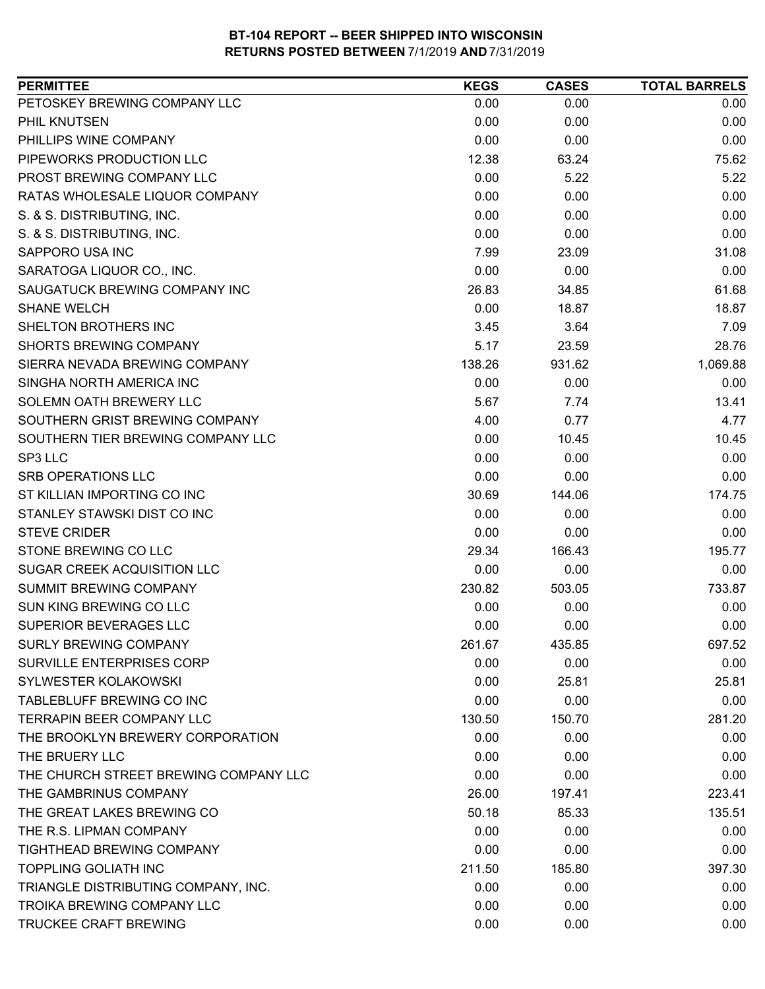| PETOSKEY BREWING COMPANY LLC<br>0.00<br>0.00<br>0.00<br>PHIL KNUTSEN<br>0.00<br>0.00<br>0.00<br>PHILLIPS WINE COMPANY<br>0.00<br>0.00<br>0.00<br>12.38<br>PIPEWORKS PRODUCTION LLC<br>63.24<br>75.62<br>0.00<br>PROST BREWING COMPANY LLC<br>5.22<br>5.22<br>RATAS WHOLESALE LIQUOR COMPANY<br>0.00<br>0.00<br>0.00<br>S. & S. DISTRIBUTING, INC.<br>0.00<br>0.00<br>0.00<br>S. & S. DISTRIBUTING, INC.<br>0.00<br>0.00<br>0.00<br>SAPPORO USA INC<br>7.99<br>31.08<br>23.09<br>SARATOGA LIQUOR CO., INC.<br>0.00<br>0.00<br>0.00<br>26.83<br>61.68<br>SAUGATUCK BREWING COMPANY INC<br>34.85<br>0.00<br>18.87<br><b>SHANE WELCH</b><br>18.87<br>3.45<br>3.64<br>7.09<br>SHELTON BROTHERS INC<br><b>SHORTS BREWING COMPANY</b><br>5.17<br>28.76<br>23.59<br>1,069.88<br>138.26<br>931.62<br>SIERRA NEVADA BREWING COMPANY<br>0.00<br>0.00<br>0.00<br>SINGHA NORTH AMERICA INC<br>5.67<br>13.41<br>SOLEMN OATH BREWERY LLC<br>7.74<br>SOUTHERN GRIST BREWING COMPANY<br>4.00<br>4.77<br>0.77<br>SOUTHERN TIER BREWING COMPANY LLC<br>0.00<br>10.45<br>10.45<br>SP3 LLC<br>0.00<br>0.00<br>0.00<br><b>SRB OPERATIONS LLC</b><br>0.00<br>0.00<br>0.00<br>ST KILLIAN IMPORTING CO INC<br>30.69<br>174.75<br>144.06<br>STANLEY STAWSKI DIST CO INC<br>0.00<br>0.00<br>0.00<br><b>STEVE CRIDER</b><br>0.00<br>0.00<br>0.00<br>29.34<br>166.43<br>195.77<br>STONE BREWING CO LLC<br>SUGAR CREEK ACQUISITION LLC<br>0.00<br>0.00<br>0.00<br>SUMMIT BREWING COMPANY<br>230.82<br>503.05<br>733.87<br>SUN KING BREWING CO LLC<br>0.00<br>0.00<br>0.00<br>SUPERIOR BEVERAGES LLC<br>0.00<br>0.00<br>0.00<br><b>SURLY BREWING COMPANY</b><br>261.67<br>435.85<br>697.52<br>SURVILLE ENTERPRISES CORP<br>0.00<br>0.00<br>0.00<br>SYLWESTER KOLAKOWSKI<br>25.81<br>0.00<br>25.81<br>TABLEBLUFF BREWING CO INC<br>0.00<br>0.00<br>0.00<br><b>TERRAPIN BEER COMPANY LLC</b><br>130.50<br>150.70<br>281.20<br>THE BROOKLYN BREWERY CORPORATION<br>0.00<br>0.00<br>0.00<br>THE BRUERY LLC<br>0.00<br>0.00<br>0.00<br>THE CHURCH STREET BREWING COMPANY LLC<br>0.00<br>0.00<br>0.00<br>THE GAMBRINUS COMPANY<br>26.00<br>197.41<br>223.41<br>THE GREAT LAKES BREWING CO<br>50.18<br>85.33<br>135.51<br>THE R.S. LIPMAN COMPANY<br>0.00<br>0.00<br>0.00<br><b>TIGHTHEAD BREWING COMPANY</b><br>0.00<br>0.00<br>0.00<br><b>TOPPLING GOLIATH INC</b><br>211.50<br>185.80<br>397.30<br>TRIANGLE DISTRIBUTING COMPANY, INC.<br>0.00<br>0.00<br>0.00<br><b>TROIKA BREWING COMPANY LLC</b><br>0.00<br>0.00<br>0.00<br>TRUCKEE CRAFT BREWING<br>0.00<br>0.00<br>0.00 | <b>PERMITTEE</b> | <b>KEGS</b> | <b>CASES</b> | <b>TOTAL BARRELS</b> |
|-------------------------------------------------------------------------------------------------------------------------------------------------------------------------------------------------------------------------------------------------------------------------------------------------------------------------------------------------------------------------------------------------------------------------------------------------------------------------------------------------------------------------------------------------------------------------------------------------------------------------------------------------------------------------------------------------------------------------------------------------------------------------------------------------------------------------------------------------------------------------------------------------------------------------------------------------------------------------------------------------------------------------------------------------------------------------------------------------------------------------------------------------------------------------------------------------------------------------------------------------------------------------------------------------------------------------------------------------------------------------------------------------------------------------------------------------------------------------------------------------------------------------------------------------------------------------------------------------------------------------------------------------------------------------------------------------------------------------------------------------------------------------------------------------------------------------------------------------------------------------------------------------------------------------------------------------------------------------------------------------------------------------------------------------------------------------------------------------------------------------------------------------------------------------------------------------------------------------------------------------------------------------------------------------------------------------------------------------------------------------------------------------------------------------------------------------------------------------------------------------------------------------------------------|------------------|-------------|--------------|----------------------|
|                                                                                                                                                                                                                                                                                                                                                                                                                                                                                                                                                                                                                                                                                                                                                                                                                                                                                                                                                                                                                                                                                                                                                                                                                                                                                                                                                                                                                                                                                                                                                                                                                                                                                                                                                                                                                                                                                                                                                                                                                                                                                                                                                                                                                                                                                                                                                                                                                                                                                                                                           |                  |             |              |                      |
|                                                                                                                                                                                                                                                                                                                                                                                                                                                                                                                                                                                                                                                                                                                                                                                                                                                                                                                                                                                                                                                                                                                                                                                                                                                                                                                                                                                                                                                                                                                                                                                                                                                                                                                                                                                                                                                                                                                                                                                                                                                                                                                                                                                                                                                                                                                                                                                                                                                                                                                                           |                  |             |              |                      |
|                                                                                                                                                                                                                                                                                                                                                                                                                                                                                                                                                                                                                                                                                                                                                                                                                                                                                                                                                                                                                                                                                                                                                                                                                                                                                                                                                                                                                                                                                                                                                                                                                                                                                                                                                                                                                                                                                                                                                                                                                                                                                                                                                                                                                                                                                                                                                                                                                                                                                                                                           |                  |             |              |                      |
|                                                                                                                                                                                                                                                                                                                                                                                                                                                                                                                                                                                                                                                                                                                                                                                                                                                                                                                                                                                                                                                                                                                                                                                                                                                                                                                                                                                                                                                                                                                                                                                                                                                                                                                                                                                                                                                                                                                                                                                                                                                                                                                                                                                                                                                                                                                                                                                                                                                                                                                                           |                  |             |              |                      |
|                                                                                                                                                                                                                                                                                                                                                                                                                                                                                                                                                                                                                                                                                                                                                                                                                                                                                                                                                                                                                                                                                                                                                                                                                                                                                                                                                                                                                                                                                                                                                                                                                                                                                                                                                                                                                                                                                                                                                                                                                                                                                                                                                                                                                                                                                                                                                                                                                                                                                                                                           |                  |             |              |                      |
|                                                                                                                                                                                                                                                                                                                                                                                                                                                                                                                                                                                                                                                                                                                                                                                                                                                                                                                                                                                                                                                                                                                                                                                                                                                                                                                                                                                                                                                                                                                                                                                                                                                                                                                                                                                                                                                                                                                                                                                                                                                                                                                                                                                                                                                                                                                                                                                                                                                                                                                                           |                  |             |              |                      |
|                                                                                                                                                                                                                                                                                                                                                                                                                                                                                                                                                                                                                                                                                                                                                                                                                                                                                                                                                                                                                                                                                                                                                                                                                                                                                                                                                                                                                                                                                                                                                                                                                                                                                                                                                                                                                                                                                                                                                                                                                                                                                                                                                                                                                                                                                                                                                                                                                                                                                                                                           |                  |             |              |                      |
|                                                                                                                                                                                                                                                                                                                                                                                                                                                                                                                                                                                                                                                                                                                                                                                                                                                                                                                                                                                                                                                                                                                                                                                                                                                                                                                                                                                                                                                                                                                                                                                                                                                                                                                                                                                                                                                                                                                                                                                                                                                                                                                                                                                                                                                                                                                                                                                                                                                                                                                                           |                  |             |              |                      |
|                                                                                                                                                                                                                                                                                                                                                                                                                                                                                                                                                                                                                                                                                                                                                                                                                                                                                                                                                                                                                                                                                                                                                                                                                                                                                                                                                                                                                                                                                                                                                                                                                                                                                                                                                                                                                                                                                                                                                                                                                                                                                                                                                                                                                                                                                                                                                                                                                                                                                                                                           |                  |             |              |                      |
|                                                                                                                                                                                                                                                                                                                                                                                                                                                                                                                                                                                                                                                                                                                                                                                                                                                                                                                                                                                                                                                                                                                                                                                                                                                                                                                                                                                                                                                                                                                                                                                                                                                                                                                                                                                                                                                                                                                                                                                                                                                                                                                                                                                                                                                                                                                                                                                                                                                                                                                                           |                  |             |              |                      |
|                                                                                                                                                                                                                                                                                                                                                                                                                                                                                                                                                                                                                                                                                                                                                                                                                                                                                                                                                                                                                                                                                                                                                                                                                                                                                                                                                                                                                                                                                                                                                                                                                                                                                                                                                                                                                                                                                                                                                                                                                                                                                                                                                                                                                                                                                                                                                                                                                                                                                                                                           |                  |             |              |                      |
|                                                                                                                                                                                                                                                                                                                                                                                                                                                                                                                                                                                                                                                                                                                                                                                                                                                                                                                                                                                                                                                                                                                                                                                                                                                                                                                                                                                                                                                                                                                                                                                                                                                                                                                                                                                                                                                                                                                                                                                                                                                                                                                                                                                                                                                                                                                                                                                                                                                                                                                                           |                  |             |              |                      |
|                                                                                                                                                                                                                                                                                                                                                                                                                                                                                                                                                                                                                                                                                                                                                                                                                                                                                                                                                                                                                                                                                                                                                                                                                                                                                                                                                                                                                                                                                                                                                                                                                                                                                                                                                                                                                                                                                                                                                                                                                                                                                                                                                                                                                                                                                                                                                                                                                                                                                                                                           |                  |             |              |                      |
|                                                                                                                                                                                                                                                                                                                                                                                                                                                                                                                                                                                                                                                                                                                                                                                                                                                                                                                                                                                                                                                                                                                                                                                                                                                                                                                                                                                                                                                                                                                                                                                                                                                                                                                                                                                                                                                                                                                                                                                                                                                                                                                                                                                                                                                                                                                                                                                                                                                                                                                                           |                  |             |              |                      |
|                                                                                                                                                                                                                                                                                                                                                                                                                                                                                                                                                                                                                                                                                                                                                                                                                                                                                                                                                                                                                                                                                                                                                                                                                                                                                                                                                                                                                                                                                                                                                                                                                                                                                                                                                                                                                                                                                                                                                                                                                                                                                                                                                                                                                                                                                                                                                                                                                                                                                                                                           |                  |             |              |                      |
|                                                                                                                                                                                                                                                                                                                                                                                                                                                                                                                                                                                                                                                                                                                                                                                                                                                                                                                                                                                                                                                                                                                                                                                                                                                                                                                                                                                                                                                                                                                                                                                                                                                                                                                                                                                                                                                                                                                                                                                                                                                                                                                                                                                                                                                                                                                                                                                                                                                                                                                                           |                  |             |              |                      |
|                                                                                                                                                                                                                                                                                                                                                                                                                                                                                                                                                                                                                                                                                                                                                                                                                                                                                                                                                                                                                                                                                                                                                                                                                                                                                                                                                                                                                                                                                                                                                                                                                                                                                                                                                                                                                                                                                                                                                                                                                                                                                                                                                                                                                                                                                                                                                                                                                                                                                                                                           |                  |             |              |                      |
|                                                                                                                                                                                                                                                                                                                                                                                                                                                                                                                                                                                                                                                                                                                                                                                                                                                                                                                                                                                                                                                                                                                                                                                                                                                                                                                                                                                                                                                                                                                                                                                                                                                                                                                                                                                                                                                                                                                                                                                                                                                                                                                                                                                                                                                                                                                                                                                                                                                                                                                                           |                  |             |              |                      |
|                                                                                                                                                                                                                                                                                                                                                                                                                                                                                                                                                                                                                                                                                                                                                                                                                                                                                                                                                                                                                                                                                                                                                                                                                                                                                                                                                                                                                                                                                                                                                                                                                                                                                                                                                                                                                                                                                                                                                                                                                                                                                                                                                                                                                                                                                                                                                                                                                                                                                                                                           |                  |             |              |                      |
|                                                                                                                                                                                                                                                                                                                                                                                                                                                                                                                                                                                                                                                                                                                                                                                                                                                                                                                                                                                                                                                                                                                                                                                                                                                                                                                                                                                                                                                                                                                                                                                                                                                                                                                                                                                                                                                                                                                                                                                                                                                                                                                                                                                                                                                                                                                                                                                                                                                                                                                                           |                  |             |              |                      |
|                                                                                                                                                                                                                                                                                                                                                                                                                                                                                                                                                                                                                                                                                                                                                                                                                                                                                                                                                                                                                                                                                                                                                                                                                                                                                                                                                                                                                                                                                                                                                                                                                                                                                                                                                                                                                                                                                                                                                                                                                                                                                                                                                                                                                                                                                                                                                                                                                                                                                                                                           |                  |             |              |                      |
|                                                                                                                                                                                                                                                                                                                                                                                                                                                                                                                                                                                                                                                                                                                                                                                                                                                                                                                                                                                                                                                                                                                                                                                                                                                                                                                                                                                                                                                                                                                                                                                                                                                                                                                                                                                                                                                                                                                                                                                                                                                                                                                                                                                                                                                                                                                                                                                                                                                                                                                                           |                  |             |              |                      |
|                                                                                                                                                                                                                                                                                                                                                                                                                                                                                                                                                                                                                                                                                                                                                                                                                                                                                                                                                                                                                                                                                                                                                                                                                                                                                                                                                                                                                                                                                                                                                                                                                                                                                                                                                                                                                                                                                                                                                                                                                                                                                                                                                                                                                                                                                                                                                                                                                                                                                                                                           |                  |             |              |                      |
|                                                                                                                                                                                                                                                                                                                                                                                                                                                                                                                                                                                                                                                                                                                                                                                                                                                                                                                                                                                                                                                                                                                                                                                                                                                                                                                                                                                                                                                                                                                                                                                                                                                                                                                                                                                                                                                                                                                                                                                                                                                                                                                                                                                                                                                                                                                                                                                                                                                                                                                                           |                  |             |              |                      |
|                                                                                                                                                                                                                                                                                                                                                                                                                                                                                                                                                                                                                                                                                                                                                                                                                                                                                                                                                                                                                                                                                                                                                                                                                                                                                                                                                                                                                                                                                                                                                                                                                                                                                                                                                                                                                                                                                                                                                                                                                                                                                                                                                                                                                                                                                                                                                                                                                                                                                                                                           |                  |             |              |                      |
|                                                                                                                                                                                                                                                                                                                                                                                                                                                                                                                                                                                                                                                                                                                                                                                                                                                                                                                                                                                                                                                                                                                                                                                                                                                                                                                                                                                                                                                                                                                                                                                                                                                                                                                                                                                                                                                                                                                                                                                                                                                                                                                                                                                                                                                                                                                                                                                                                                                                                                                                           |                  |             |              |                      |
|                                                                                                                                                                                                                                                                                                                                                                                                                                                                                                                                                                                                                                                                                                                                                                                                                                                                                                                                                                                                                                                                                                                                                                                                                                                                                                                                                                                                                                                                                                                                                                                                                                                                                                                                                                                                                                                                                                                                                                                                                                                                                                                                                                                                                                                                                                                                                                                                                                                                                                                                           |                  |             |              |                      |
|                                                                                                                                                                                                                                                                                                                                                                                                                                                                                                                                                                                                                                                                                                                                                                                                                                                                                                                                                                                                                                                                                                                                                                                                                                                                                                                                                                                                                                                                                                                                                                                                                                                                                                                                                                                                                                                                                                                                                                                                                                                                                                                                                                                                                                                                                                                                                                                                                                                                                                                                           |                  |             |              |                      |
|                                                                                                                                                                                                                                                                                                                                                                                                                                                                                                                                                                                                                                                                                                                                                                                                                                                                                                                                                                                                                                                                                                                                                                                                                                                                                                                                                                                                                                                                                                                                                                                                                                                                                                                                                                                                                                                                                                                                                                                                                                                                                                                                                                                                                                                                                                                                                                                                                                                                                                                                           |                  |             |              |                      |
|                                                                                                                                                                                                                                                                                                                                                                                                                                                                                                                                                                                                                                                                                                                                                                                                                                                                                                                                                                                                                                                                                                                                                                                                                                                                                                                                                                                                                                                                                                                                                                                                                                                                                                                                                                                                                                                                                                                                                                                                                                                                                                                                                                                                                                                                                                                                                                                                                                                                                                                                           |                  |             |              |                      |
|                                                                                                                                                                                                                                                                                                                                                                                                                                                                                                                                                                                                                                                                                                                                                                                                                                                                                                                                                                                                                                                                                                                                                                                                                                                                                                                                                                                                                                                                                                                                                                                                                                                                                                                                                                                                                                                                                                                                                                                                                                                                                                                                                                                                                                                                                                                                                                                                                                                                                                                                           |                  |             |              |                      |
|                                                                                                                                                                                                                                                                                                                                                                                                                                                                                                                                                                                                                                                                                                                                                                                                                                                                                                                                                                                                                                                                                                                                                                                                                                                                                                                                                                                                                                                                                                                                                                                                                                                                                                                                                                                                                                                                                                                                                                                                                                                                                                                                                                                                                                                                                                                                                                                                                                                                                                                                           |                  |             |              |                      |
|                                                                                                                                                                                                                                                                                                                                                                                                                                                                                                                                                                                                                                                                                                                                                                                                                                                                                                                                                                                                                                                                                                                                                                                                                                                                                                                                                                                                                                                                                                                                                                                                                                                                                                                                                                                                                                                                                                                                                                                                                                                                                                                                                                                                                                                                                                                                                                                                                                                                                                                                           |                  |             |              |                      |
|                                                                                                                                                                                                                                                                                                                                                                                                                                                                                                                                                                                                                                                                                                                                                                                                                                                                                                                                                                                                                                                                                                                                                                                                                                                                                                                                                                                                                                                                                                                                                                                                                                                                                                                                                                                                                                                                                                                                                                                                                                                                                                                                                                                                                                                                                                                                                                                                                                                                                                                                           |                  |             |              |                      |
|                                                                                                                                                                                                                                                                                                                                                                                                                                                                                                                                                                                                                                                                                                                                                                                                                                                                                                                                                                                                                                                                                                                                                                                                                                                                                                                                                                                                                                                                                                                                                                                                                                                                                                                                                                                                                                                                                                                                                                                                                                                                                                                                                                                                                                                                                                                                                                                                                                                                                                                                           |                  |             |              |                      |
|                                                                                                                                                                                                                                                                                                                                                                                                                                                                                                                                                                                                                                                                                                                                                                                                                                                                                                                                                                                                                                                                                                                                                                                                                                                                                                                                                                                                                                                                                                                                                                                                                                                                                                                                                                                                                                                                                                                                                                                                                                                                                                                                                                                                                                                                                                                                                                                                                                                                                                                                           |                  |             |              |                      |
|                                                                                                                                                                                                                                                                                                                                                                                                                                                                                                                                                                                                                                                                                                                                                                                                                                                                                                                                                                                                                                                                                                                                                                                                                                                                                                                                                                                                                                                                                                                                                                                                                                                                                                                                                                                                                                                                                                                                                                                                                                                                                                                                                                                                                                                                                                                                                                                                                                                                                                                                           |                  |             |              |                      |
|                                                                                                                                                                                                                                                                                                                                                                                                                                                                                                                                                                                                                                                                                                                                                                                                                                                                                                                                                                                                                                                                                                                                                                                                                                                                                                                                                                                                                                                                                                                                                                                                                                                                                                                                                                                                                                                                                                                                                                                                                                                                                                                                                                                                                                                                                                                                                                                                                                                                                                                                           |                  |             |              |                      |
|                                                                                                                                                                                                                                                                                                                                                                                                                                                                                                                                                                                                                                                                                                                                                                                                                                                                                                                                                                                                                                                                                                                                                                                                                                                                                                                                                                                                                                                                                                                                                                                                                                                                                                                                                                                                                                                                                                                                                                                                                                                                                                                                                                                                                                                                                                                                                                                                                                                                                                                                           |                  |             |              |                      |
|                                                                                                                                                                                                                                                                                                                                                                                                                                                                                                                                                                                                                                                                                                                                                                                                                                                                                                                                                                                                                                                                                                                                                                                                                                                                                                                                                                                                                                                                                                                                                                                                                                                                                                                                                                                                                                                                                                                                                                                                                                                                                                                                                                                                                                                                                                                                                                                                                                                                                                                                           |                  |             |              |                      |
|                                                                                                                                                                                                                                                                                                                                                                                                                                                                                                                                                                                                                                                                                                                                                                                                                                                                                                                                                                                                                                                                                                                                                                                                                                                                                                                                                                                                                                                                                                                                                                                                                                                                                                                                                                                                                                                                                                                                                                                                                                                                                                                                                                                                                                                                                                                                                                                                                                                                                                                                           |                  |             |              |                      |
|                                                                                                                                                                                                                                                                                                                                                                                                                                                                                                                                                                                                                                                                                                                                                                                                                                                                                                                                                                                                                                                                                                                                                                                                                                                                                                                                                                                                                                                                                                                                                                                                                                                                                                                                                                                                                                                                                                                                                                                                                                                                                                                                                                                                                                                                                                                                                                                                                                                                                                                                           |                  |             |              |                      |
|                                                                                                                                                                                                                                                                                                                                                                                                                                                                                                                                                                                                                                                                                                                                                                                                                                                                                                                                                                                                                                                                                                                                                                                                                                                                                                                                                                                                                                                                                                                                                                                                                                                                                                                                                                                                                                                                                                                                                                                                                                                                                                                                                                                                                                                                                                                                                                                                                                                                                                                                           |                  |             |              |                      |
|                                                                                                                                                                                                                                                                                                                                                                                                                                                                                                                                                                                                                                                                                                                                                                                                                                                                                                                                                                                                                                                                                                                                                                                                                                                                                                                                                                                                                                                                                                                                                                                                                                                                                                                                                                                                                                                                                                                                                                                                                                                                                                                                                                                                                                                                                                                                                                                                                                                                                                                                           |                  |             |              |                      |
|                                                                                                                                                                                                                                                                                                                                                                                                                                                                                                                                                                                                                                                                                                                                                                                                                                                                                                                                                                                                                                                                                                                                                                                                                                                                                                                                                                                                                                                                                                                                                                                                                                                                                                                                                                                                                                                                                                                                                                                                                                                                                                                                                                                                                                                                                                                                                                                                                                                                                                                                           |                  |             |              |                      |